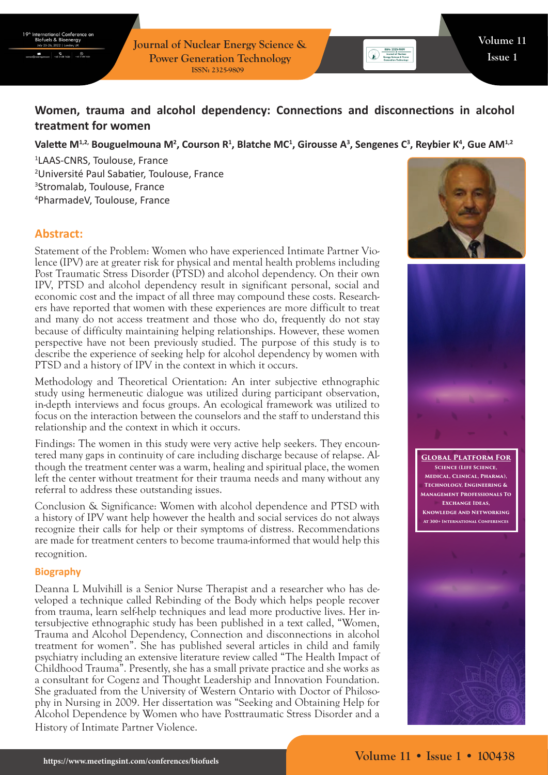

**Journal of Nuclear Energy Science & Power Generation Technology ISSN: 2325-9809**

# **Women, trauma and alcohol dependency: Connections and disconnections in alcohol treatment for women**

#### Valette M<sup>1,2,</sup> Bouguelmouna M<sup>2</sup>, Courson R<sup>1</sup>, Blatche MC<sup>1</sup>, Girousse A<sup>3</sup>, Sengenes C<sup>3</sup>, Reybier K<sup>4</sup>, Gue AM<sup>1,2</sup>

 LAAS-CNRS, Toulouse, France Université Paul Sabatier, Toulouse, France Stromalab, Toulouse, France PharmadeV, Toulouse, France

## **Abstract:**

Statement of the Problem: Women who have experienced Intimate Partner Violence (IPV) are at greater risk for physical and mental health problems including Post Traumatic Stress Disorder (PTSD) and alcohol dependency. On their own IPV, PTSD and alcohol dependency result in significant personal, social and economic cost and the impact of all three may compound these costs. Researchers have reported that women with these experiences are more difficult to treat and many do not access treatment and those who do, frequently do not stay because of difficulty maintaining helping relationships. However, these women perspective have not been previously studied. The purpose of this study is to describe the experience of seeking help for alcohol dependency by women with PTSD and a history of IPV in the context in which it occurs.

Methodology and Theoretical Orientation: An inter subjective ethnographic study using hermeneutic dialogue was utilized during participant observation, in-depth interviews and focus groups. An ecological framework was utilized to focus on the interaction between the counselors and the staff to understand this relationship and the context in which it occurs.

Findings: The women in this study were very active help seekers. They encountered many gaps in continuity of care including discharge because of relapse. Although the treatment center was a warm, healing and spiritual place, the women left the center without treatment for their trauma needs and many without any referral to address these outstanding issues.

Conclusion & Significance: Women with alcohol dependence and PTSD with a history of IPV want help however the health and social services do not always recognize their calls for help or their symptoms of distress. Recommendations are made for treatment centers to become trauma-informed that would help this recognition.

#### **Biography**

Deanna L Mulvihill is a Senior Nurse Therapist and a researcher who has developed a technique called Rebinding of the Body which helps people recover from trauma, learn self-help techniques and lead more productive lives. Her intersubjective ethnographic study has been published in a text called, "Women, Trauma and Alcohol Dependency, Connection and disconnections in alcohol treatment for women". She has published several articles in child and family psychiatry including an extensive literature review called "The Health Impact of Childhood Trauma". Presently, she has a small private practice and she works as a consultant for Cogenz and Thought Leadership and Innovation Foundation. She graduated from the University of Western Ontario with Doctor of Philosophy in Nursing in 2009. Her dissertation was "Seeking and Obtaining Help for Alcohol Dependence by Women who have Posttraumatic Stress Disorder and a History of Intimate Partner Violence.



**SSN: 2325-9809**<br> **Example of Nuclear**<br> **Energy Science & Power**